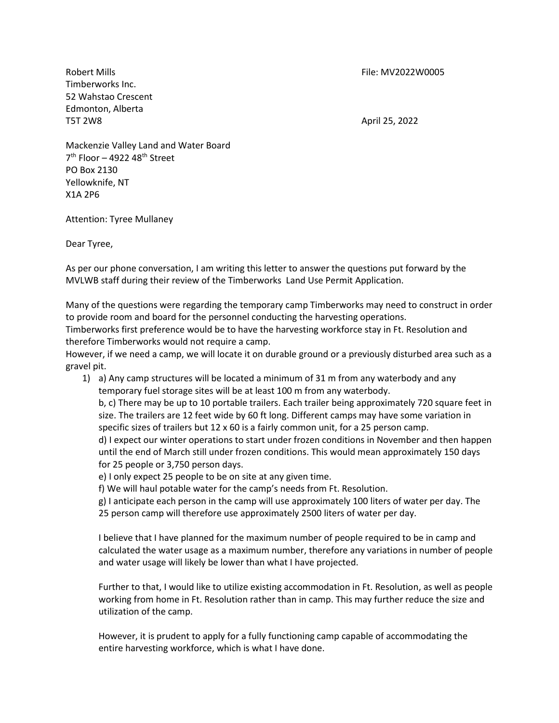Robert Mills File: MV2022W0005 Timberworks Inc. 52 Wahstao Crescent Edmonton, Alberta T5T 2W8 April 25, 2022

Mackenzie Valley Land and Water Board 7<sup>th</sup> Floor – 4922 48<sup>th</sup> Street PO Box 2130 Yellowknife, NT X1A 2P6

Attention: Tyree Mullaney

Dear Tyree,

As per our phone conversation, I am writing this letter to answer the questions put forward by the MVLWB staff during their review of the Timberworks Land Use Permit Application.

Many of the questions were regarding the temporary camp Timberworks may need to construct in order to provide room and board for the personnel conducting the harvesting operations.

Timberworks first preference would be to have the harvesting workforce stay in Ft. Resolution and therefore Timberworks would not require a camp.

However, if we need a camp, we will locate it on durable ground or a previously disturbed area such as a gravel pit.

1) a) Any camp structures will be located a minimum of 31 m from any waterbody and any temporary fuel storage sites will be at least 100 m from any waterbody. b, c) There may be up to 10 portable trailers. Each trailer being approximately 720 square feet in size. The trailers are 12 feet wide by 60 ft long. Different camps may have some variation in specific sizes of trailers but 12 x 60 is a fairly common unit, for a 25 person camp. d) I expect our winter operations to start under frozen conditions in November and then happen until the end of March still under frozen conditions. This would mean approximately 150 days for 25 people or 3,750 person days. e) I only expect 25 people to be on site at any given time. f) We will haul potable water for the camp's needs from Ft. Resolution. g) I anticipate each person in the camp will use approximately 100 liters of water per day. The 25 person camp will therefore use approximately 2500 liters of water per day.

I believe that I have planned for the maximum number of people required to be in camp and calculated the water usage as a maximum number, therefore any variations in number of people and water usage will likely be lower than what I have projected.

Further to that, I would like to utilize existing accommodation in Ft. Resolution, as well as people working from home in Ft. Resolution rather than in camp. This may further reduce the size and utilization of the camp.

However, it is prudent to apply for a fully functioning camp capable of accommodating the entire harvesting workforce, which is what I have done.